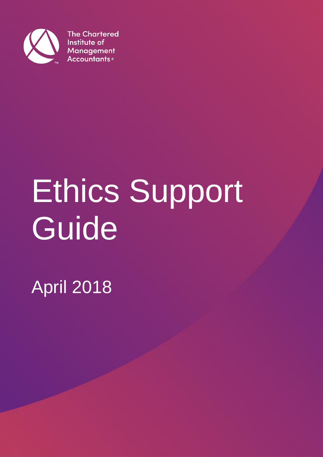

**The Chartered** Institute of **Management Accountants** ®

# Ethics Support Guide

April 2018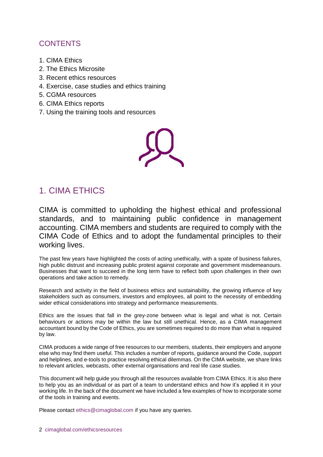# **CONTENTS**

- 1. CIMA Ethics
- 2. The Ethics Microsite
- 3. Recent ethics resources
- 4. Exercise, case studies and ethics training
- 5. CGMA resources
- 6. CIMA Ethics reports
- 7. Using the training tools and resources

# 1. CIMA ETHICS

CIMA is committed to upholding the highest ethical and professional standards, and to maintaining public confidence in management accounting. CIMA members and students are required to comply with the CIMA Code of Ethics and to adopt the fundamental principles to their working lives.

The past few years have highlighted the costs of acting unethically, with a spate of business failures, high public distrust and increasing public protest against corporate and government misdemeanours. Businesses that want to succeed in the long term have to reflect both upon challenges in their own operations and take action to remedy.

Research and activity in the field of business ethics and sustainability, the growing influence of key stakeholders such as consumers, investors and employees, all point to the necessity of embedding wider ethical considerations into strategy and performance measurements.

Ethics are the issues that fall in the grey-zone between what is legal and what is not. Certain behaviours or actions may be within the law but still unethical. Hence, as a CIMA management accountant bound by the Code of Ethics, you are sometimes required to do more than what is required by law.

CIMA produces a wide range of free resources to our members, students, their employers and anyone else who may find them useful. This includes a number of reports, guidance around the Code, support and helplines, and e-tools to practice resolving ethical dilemmas. On the CIMA website, we share links to relevant articles, webcasts, other external organisations and real life case studies.

This document will help guide you through all the resources available from CIMA Ethics. It is also there to help you as an individual or as part of a team to understand ethics and how it's applied it in your working life. In the back of the document we have included a few examples of how to incorporate some of the tools in training and events.

Please contact [ethics@cimaglobal.com](mailto:ethics@cimaglobal.com) if you have any queries.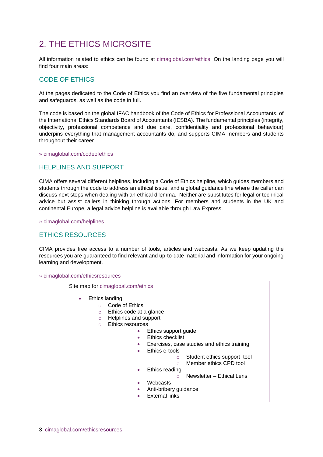# 2. THE ETHICS MICROSITE

All information related to ethics can be found at [cimaglobal.com/ethics.](http://www.cimaglobal.com/ethics) On the landing page you will find four main areas:

## CODE OF ETHICS

At the pages dedicated to the Code of Ethics you find an overview of the five fundamental principles and safeguards, as well as the code in full.

The code is based on the global IFAC handbook of the Code of Ethics for Professional Accountants, of the International Ethics Standards Board of Accountants (IESBA). The fundamental principles (integrity, objectivity, professional competence and due care, confidentiality and professional behaviour) underpins everything that management accountants do, and supports CIMA members and students throughout their career.

» [cimaglobal.com/codeofethics](http://www.cimaglobal.com/codeofethics)

### HELPLINES AND SUPPORT

CIMA offers several different helplines, including a Code of Ethics helpline, which guides members and students through the code to address an ethical issue, and a global guidance line where the caller can discuss next steps when dealing with an ethical dilemma. Neither are substitutes for legal or technical advice but assist callers in thinking through actions. For members and students in the UK and continental Europe, a legal advice helpline is available through Law Express.

» [cimaglobal.com/helplines](http://www.cimaglobal.com/helplines) 

## ETHICS RESOURCES

CIMA provides free access to a number of tools, articles and webcasts. As we keep updating the resources you are guaranteed to find relevant and up-to-date material and information for your ongoing learning and development.

» [cimaglobal.com/ethicsresources](http://www.cimaglobal.com/ethicsresources)

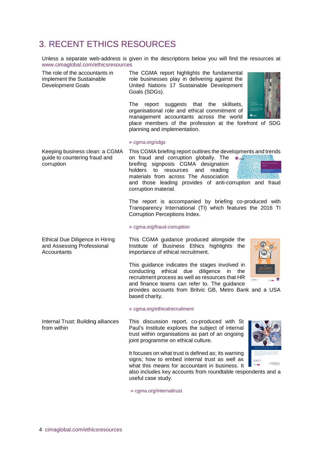# 3. RECENT ETHICS RESOURCES

Unless a separate web-address is given in the descriptions below you will find the resources at [www.cimaglobal.com/ethicsresources](http://www.cimaglobal.com/ethicsresources)

The role of the accountants in implement the Sustainable Development Goals

The CGMA report highlights the fundamental role businesses play in delivering against the United Nations 17 Sustainable Development Goals (SDGs).

The report suggests that the skillsets, organisational role and ethical commitment of management accountants across the world



place members of the profession at the forefront of SDG planning and implementation.

#### » [cgma.org/sdgs](http://www.cgma.org/sdgs)

Keeping business clean: a CGMA This CGMA briefing report outlines the developments and trends

guide to countering fraud and corruption

Ethical Due Diligence in Hiring and Assessing Professional

**Accountants** 

on fraud and corruption globally. The  $\bullet$ breifing signposts CGMA designation holders to resources and reading materials from across The Association



and those leading provides of anti-corruption and fraud corruption material.

The report is accompanied by briefing co-produced with Transparency International (TI) which features the 2016 TI Corruption Perceptions Index.

#### » [cgma.org/fraud-corruption](http://www.cgma.org/fraud-corruption)

This CGMA guidance produced alongside the Institute of Business Ethics highlights the importance of ethical recruitment.

This guidance indicates the stages involved in conducting ethical due diligence in the recruitment process as well as resources that HR and finance teams can refer to. The guidance



provides accounts from Britvic GB, Metro Bank and a USA based charity.

#### » [cgma.org/ethicalrecruitment](http://www.cgma.org/ethicalrecruitment)

This discussion report, co-produced with St Paul's Institute explores the subject of internal trust within organisations as part of an ongoing joint programme on ethical culture.

It focuses on what trust is defined as; its warning signs; how to embed internal trust as well as what this means for accountant in business. It



also includes key accounts from roundtable respondents and a useful case study.

» [cgma.org/internaltrust](http://www.cgma.org/internaltrust)

Internal Trust: Building alliances from within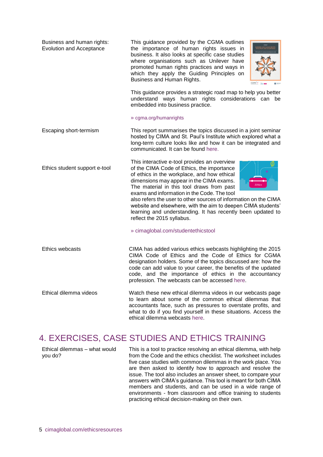| Business and human rights:<br><b>Evolution and Acceptance</b> | This guidance provided by the CGMA outlines<br>the importance of human rights issues in<br>business. It also looks at specific case studies<br>where organisations such as Unilever have<br>promoted human rights practices and ways in<br>which they apply the Guiding Principles on<br>Business and Human Rights.<br>CGMA'.                                                                                                                                                                                                                            |
|---------------------------------------------------------------|----------------------------------------------------------------------------------------------------------------------------------------------------------------------------------------------------------------------------------------------------------------------------------------------------------------------------------------------------------------------------------------------------------------------------------------------------------------------------------------------------------------------------------------------------------|
|                                                               | This guidance provides a strategic road map to help you better<br>understand ways human rights considerations can be<br>embedded into business practice.                                                                                                                                                                                                                                                                                                                                                                                                 |
|                                                               | » cgma.org/humanrights                                                                                                                                                                                                                                                                                                                                                                                                                                                                                                                                   |
| Escaping short-termism                                        | This report summarises the topics discussed in a joint seminar<br>hosted by CIMA and St. Paul's Institute which explored what a<br>long-term culture looks like and how it can be integrated and<br>communicated. It can be found here.                                                                                                                                                                                                                                                                                                                  |
| Ethics student support e-tool                                 | This interactive e-tool provides an overview<br>of the CIMA Code of Ethics, the importance<br>of ethics in the workplace, and how ethical<br>dimensions may appear in the CIMA exams.<br>The material in this tool draws from past<br>exams and information in the Code. The tool<br>also refers the user to other sources of information on the CIMA<br>website and elsewhere, with the aim to deepen CIMA students'<br>learning and understanding. It has recently been updated to<br>reflect the 2015 syllabus.<br>» cimaglobal.com/studentethicstool |
| Ethics webcasts                                               | CIMA has added various ethics webcasts highlighting the 2015<br>CIMA Code of Ethics and the Code of Ethics for CGMA<br>designation holders. Some of the topics discussed are: how the<br>code can add value to your career, the benefits of the updated<br>code, and the importance of ethics in the accountancy<br>profession. The webcasts can be accessed here.                                                                                                                                                                                       |
| Ethical dilemma videos                                        | Watch these new ethical dilemma videos in our webcasts page<br>to learn about some of the common ethical dilemmas that<br>accountants face, such as pressures to overstate profits, and<br>what to do if you find yourself in these situations. Access the<br>ethical dilemma webcasts here.                                                                                                                                                                                                                                                             |
|                                                               | 4. EXERCISES, CASE STUDIES AND ETHICS TRAINING                                                                                                                                                                                                                                                                                                                                                                                                                                                                                                           |

Ethical dilemmas – what would you do? This is a tool to practice resolving an ethical dilemma, with help from the Code and the ethics checklist. The worksheet includes five case studies with common dilemmas in the work place. You are then asked to identify how to approach and resolve the issue. The tool also includes an answer sheet, to compare your answers with CIMA's guidance. This tool is meant for both CIMA members and students, and can be used in a wide range of environments - from classroom and office training to students practicing ethical decision-making on their own.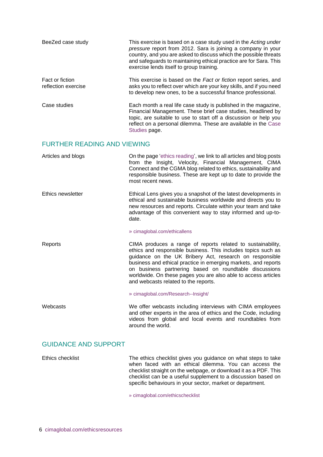| BeeZed case study                      | This exercise is based on a case study used in the Acting under<br>pressure report from 2012. Sara is joining a company in your<br>country, and you are asked to discuss which the possible threats<br>and safeguards to maintaining ethical practice are for Sara. This<br>exercise lends itself to group training. |
|----------------------------------------|----------------------------------------------------------------------------------------------------------------------------------------------------------------------------------------------------------------------------------------------------------------------------------------------------------------------|
| Fact or fiction<br>reflection exercise | This exercise is based on the Fact or fiction report series, and<br>asks you to reflect over which are your key skills, and if you need<br>to develop new ones, to be a successful finance professional.                                                                                                             |
| Case studies                           | Each month a real life case study is published in the magazine,<br>Financial Management. These brief case studies, headlined by<br>topic, are suitable to use to start off a discussion or help you<br>reflect on a personal dilemma. These are available in the Case<br>Studies page.                               |
| <b>FURTHER READING AND VIEWING</b>     |                                                                                                                                                                                                                                                                                                                      |
| Articles and blogs                     | On the page 'ethics reading', we link to all articles and blog posts<br>from the Insight, Velocity, Financial Management, CIMA<br>Connect and the CGMA blog related to ethics, sustainability and<br>responsible business. These are kept up to date to provide the<br>most recent news.                             |
| Ethics newsletter                      | Ethical Lens gives you a snapshot of the latest developments in<br>ethical and sustainable business worldwide and directs you to<br>new resources and reports. Circulate within your team and take<br>advantage of this convenient way to stay informed and up-to-<br>date.                                          |

#### » [cimaglobal.com/ethicallens](http://www.cimaglobal.com/ethicallens)

Reports CIMA produces a range of reports related to sustainability, ethics and responsible business. This includes topics such as guidance on the UK Bribery Act, research on responsible business and ethical practice in emerging markets, and reports on business partnering based on roundtable discussions worldwide. On these pages you are also able to access articles and webcasts related to the reports.

» cimaglobal.com/Research--Insight/

Webcasts Webcasts We offer webcasts including interviews with CIMA employees and other experts in the area of ethics and the Code, including videos from global and local events and roundtables from around the world.

# GUIDANCE AND SUPPORT

| Ethics checklist | The ethics checklist gives you guidance on what steps to take<br>when faced with an ethical dilemma. You can access the<br>checklist straight on the webpage, or download it as a PDF. This<br>checklist can be a useful supplement to a discussion based on<br>specific behaviours in your sector, market or department. |
|------------------|---------------------------------------------------------------------------------------------------------------------------------------------------------------------------------------------------------------------------------------------------------------------------------------------------------------------------|
|                  | » cimaglobal.com/ethicschecklist                                                                                                                                                                                                                                                                                          |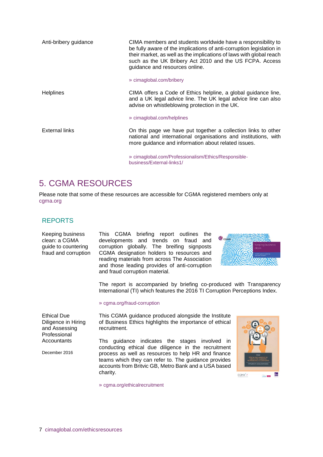| Anti-bribery guidance | CIMA members and students worldwide have a responsibility to<br>be fully aware of the implications of anti-corruption legislation in<br>their market, as well as the implications of laws with global reach<br>such as the UK Bribery Act 2010 and the US FCPA. Access<br>guidance and resources online. |
|-----------------------|----------------------------------------------------------------------------------------------------------------------------------------------------------------------------------------------------------------------------------------------------------------------------------------------------------|
|                       | » cimaglobal.com/bribery                                                                                                                                                                                                                                                                                 |
| <b>Helplines</b>      | CIMA offers a Code of Ethics helpline, a global guidance line,<br>and a UK legal advice line. The UK legal advice line can also<br>advise on whistleblowing protection in the UK.                                                                                                                        |
|                       | » cimaglobal.com/helplines                                                                                                                                                                                                                                                                               |
| External links        | On this page we have put together a collection links to other<br>national and international organisations and institutions, with<br>more guidance and information about related issues.                                                                                                                  |
|                       | » cimaglobal.com/Professionalism/Ethics/Responsible-<br>business/External-links1/                                                                                                                                                                                                                        |

# 5. CGMA RESOURCES

Please note that some of these resources are accessible for CGMA registered members only at [cgma.org](http://www.cgma.org/)

## REPORTS

| Keeping business<br>clean: a CGMA<br>guide to countering<br>fraud and corruption | This CGMA briefing report outlines<br>the<br>CGMA<br>developments and trends on fraud<br>and<br>corruption globally. The breifing signposts<br>CGMA designation holders to resources and<br>reading materials from across The Association<br>and those leading provides of anti-corruption<br>and fraud corruption material. |  |
|----------------------------------------------------------------------------------|------------------------------------------------------------------------------------------------------------------------------------------------------------------------------------------------------------------------------------------------------------------------------------------------------------------------------|--|
|                                                                                  | The report is accompanied by briefing co-produced with 1<br>International (TI) which features the 2016 TI Corruption Percep                                                                                                                                                                                                  |  |
|                                                                                  | » cgma.org/fraud-corruption                                                                                                                                                                                                                                                                                                  |  |
| Ethical Due                                                                      | This CGMA guidance produced alongside the Institute                                                                                                                                                                                                                                                                          |  |
| Diligence in Hiring<br>and Assessing<br>Professional                             | of Business Ethics highlights the importance of ethical<br>recruitment.                                                                                                                                                                                                                                                      |  |
| Accountants                                                                      | Ths guidance indicates the stages involved in<br>conducting ethical due diligence in the recruitment                                                                                                                                                                                                                         |  |
| December 2016                                                                    | process as well as resources to help HR and finance                                                                                                                                                                                                                                                                          |  |



Transparency itions Index.

process as well as resources to help HR and finance teams which they can refer to. The guidance provides accounts from Britvic GB, Metro Bank and a USA based charity.



» [cgma.org/ethicalrecruitment](http://www.cgma.org/ethicalrecruitment)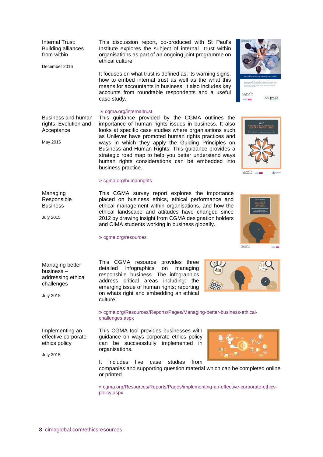Internal Trust: Building alliances from within

December 2016

This discussion report, co-produced with St Paul's Institute explores the subject of internal trust within organisations as part of an ongoing joint programme on ethical culture.

It focuses on what trust is defined as; its warning signs; how to embed internal trust as well as the what this means for accountants in business. It also includes key accounts from roundtable respondents and a useful case study.

#### » [cgma.org/internaltrust](file://///gbrsan01.op.cimaglobal.net/data$/Professional%20Standards%20and%20Conduct/Ethics/2017/CIMA%20and%20CGMA%20Ethics%20Resources/www.cgma.org/internaltrust)

Business and human rights: Evolution and Acceptance

May 2016

This guidance provided by the CGMA outlines the importance of human rights issues in business. It also looks at specific case studies where organisations such as Unilever have promoted human rights practices and ways in which they apply the Guiding Principles on Business and Human Rights. This guidance provides a strategic road map to help you better understand ways human rights considerations can be embedded into business practice.

#### » [cgma.org/humanrights](http://www.cgma.org/humanrights)

Managing Responsible **Business** 

July 2015

This CGMA survey report explores the importance placed on business ethics, ethical performance and ethical management within organisations, and how the ethical landscape and attitudes have changed since 2012 by drawing insight from CGMA designation holders and CIMA students working in business globally.

#### » [cgma.org/resources](http://www.cgma.org/resources)

Managing better business – addressing ethical challenges

Implementing an effective corporate ethics policy

July 2015

July 2015

This CGMA resource provides three detailed infographics on managing responsbile business. The infographics address critical areas including: the emerging issue of human rights; reporting on whats right and embedding an ethical culture.

» [cgma.org/Resources/Reports/Pages/Managing-better-business-ethical](http://www.cgma.org/Resources/Reports/Pages/Managing-better-business-ethical-challenges.aspx)[challenges.aspx](http://www.cgma.org/Resources/Reports/Pages/Managing-better-business-ethical-challenges.aspx)

This CGMA tool provides businesses with guidance on ways corporate ethics policy can be succsessfully implemented in organisations.



It includes five case studies from companies and supporting question material which can be completed online or printed.

[» cgma.org/Resources/Reports/Pages/implementing-an-effective-corporate-ethics](http://www.cgma.org/Resources/Reports/Pages/implementing-an-effective-corporate-ethics-policy.aspx)[policy.aspx](http://www.cgma.org/Resources/Reports/Pages/implementing-an-effective-corporate-ethics-policy.aspx)





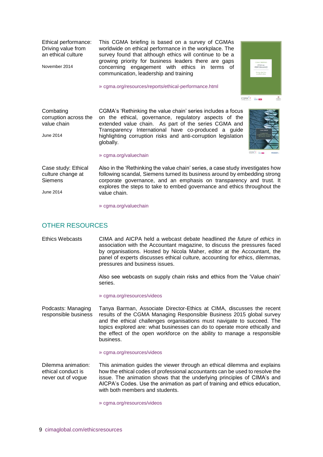Ethical performance: Driving value from an ethical culture

November 2014

This CGMA briefing is based on a survey of CGMAs worldwide on ethical performance in the workplace. The survey found that although ethics will continue to be a growing priority for business leaders there are gaps concerning engagement with ethics in terms of communication, leadership and training

» [cgma.org/resources/reports/ethical-performance.html](http://www.cgma.org/resources/reports/ethical-performance.html)



Combating corruption across the value chain

June 2014

June 2014

CGMA's 'Rethinking the value chain' series includes a focus on the ethical, governance, regulatory aspects of the extended value chain. As part of the series CGMA and Transparency International have co-produced a guide highlighting corruption risks and anti-corruption legislation globally.



#### » [cgma.org/valuechain](http://www.cgma.org/valuechain)

Case study: Ethical culture change at **Siemens** 

Also in the 'Rethinking the value chain' series, a case study investigates how following scandal, Siemens turned its business around by embedding strong corporate governance, and an emphasis on transparency and trust. It explores the steps to take to embed governance and ethics throughout the value chain.

» [cgma.org/valuechain](http://www.cgma.org/valuechain)

## OTHER RESOURCES

Ethics Webcasts CIMA and AICPA held a webcast debate headlined *the future of ethics* in association with [the Accountant magazine,](http://www.vrl-financial-news.com/accounting/the-accountant.aspx) to discuss the pressures faced by organisations. Hosted by Nicola Maher, editor at the Accountant, the panel of experts discusses ethical culture, accounting for ethics, dilemmas, pressures and business issues.

> Also see webcasts on supply chain risks and ethics from the 'Value chain' series.

#### » [cgma.org/resources/videos](http://www.cgma.org/resources/videos)

Podcasts: Managing responsible business Tanya Barman, Associate Director-Ethics at CIMA, discusses the recent results of the CGMA Managing Responsible Business 2015 global survey and the ethical challenges organisations must navigate to succeed. The topics explored are: what businesses can do to operate more ethically and the effect of the open workforce on the ability to manage a responsible business.

#### » [cgma.org/resources/videos](http://www.cgma.org/resources/videos)

Dilemma animation: ethical conduct is never out of vogue This animation guides the viewer through an ethical dilemma and explains how the ethical codes of professional accountants can be used to resolve the issue. The animation shows that the underlying principles of CIMA's and AICPA's Codes. Use the animation as part of training and ethics education, with both members and students.

» [cgma.org/resources/videos](http://www.cgma.org/resources/videos)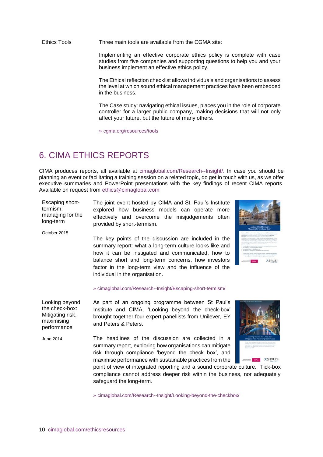Ethics Tools Three main tools are available from the CGMA site:

Implementing an effective corporate ethics policy is complete with case studies from five companies and supporting questions to help you and your business implement an effective ethics policy.

The Ethical reflection checklist allows individuals and organisations to assess the level at which sound ethical management practices have been embedded in the business.

The Case study: navigating ethical issues, places you in the role of corporate controller for a larger public company, making decisions that will not only affect your future, but the future of many others.

» [cgma.org/resources/tools](http://www.cgma.org/resources/tools)

# 6. CIMA ETHICS REPORTS

CIMA produces reports, all available at [cimaglobal.com/Research--Insight/.](http://www.cimaglobal.com/Research--Insight/) In case you should be planning an event or facilitating a training session on a related topic, do get in touch with us, as we offer executive summaries and PowerPoint presentations with the key findings of recent CIMA reports. Available on request from [ethics@cimaglobal.com](mailto:ethics@cimaglobal.com)

| Escaping short-               | The joint event hosted by CIMA and St. Paul's Institute |
|-------------------------------|---------------------------------------------------------|
| termism:                      | explored how business models can operate more           |
| managing for the<br>long-term | effectively and overcome the misjudgements often        |
|                               | provided by short-termism.                              |

October 2015

The key points of the discussion are included in the summary report: what a long-term culture looks like and how it can be instigated and communicated, how to balance short and long-term concerns, how investors factor in the long-term view and the influence of the individual in the organisation.



» [cimaglobal.com/Research--Insight/Escaping-short-termism/](https://www.cimaglobal.com/Research--Insight/Escaping-short-termism/)

Looking beyond the check-box: Mitigating risk, maximising performance As part of an ongoing programme between St Paul's Institute and CIMA, 'Looking beyond the check-box' brought together four expert panellists from Unilever, EY and Peters & Peters.

June 2014 The headlines of the discussion are collected in a summary report, exploring how organisations can mitigate risk through compliance 'beyond the check box', and maximise performance with sustainable practices from the



point of view of integrated reporting and a sound corporate culture. Tick-box compliance cannot address deeper risk within the business, nor adequately safeguard the long-term.

» [cimaglobal.com/Research--Insight/Looking-beyond-the-checkbox/](https://www.cimaglobal.com/Research--Insight/Looking-beyond-the-checkbox/)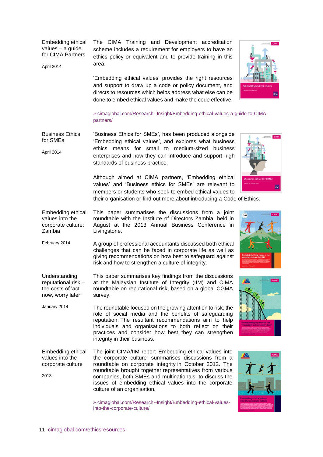Embedding ethical values – a guide for CIMA Partners

April 2014

The CIMA Training and Development accreditation scheme includes a requirement for employers to have an ethics policy or equivalent and to provide training in this area.

'Embedding ethical values' provides the right resources and support to draw up a code or policy document, and directs to resources which helps address what else can be done to embed ethical values and make the code effective.



» [cimaglobal.com/Research--Insight/Embedding-ethical-values-a-guide-to-CIMA](https://www.cimaglobal.com/Research--Insight/Embedding-ethical-values-a-guide-to-CIMA-partners/)[partners/](https://www.cimaglobal.com/Research--Insight/Embedding-ethical-values-a-guide-to-CIMA-partners/)

Business Ethics for SMEs April 2014 'Business Ethics for SMEs', has been produced alongside 'Embedding ethical values', and explores what business ethics means for small to medium-sized business enterprises and how they can introduce and support high standards of business practice.



Although aimed at CIMA partners, 'Embedding ethical values' and 'Business ethics for SMEs' are relevant to members or students who seek to embed ethical values to

their organisation or find out more about introducing a Code of Ethics.

- Embedding ethical values into the corporate culture: Zambia This paper summarises the discussions from a joint roundtable with the Institute of Directors Zambia, held in August at the 2013 Annual Business Conference in Livingstone.
- February 2014 A group of professional accountants discussed both ethical challenges that can be faced in corporate life as well as giving recommendations on how best to safeguard against risk and how to strengthen a culture of integrity.

Understanding reputational risk – the costs of 'act now, worry later' This paper summarises key findings from the discussions at the Malaysian Institute of Integrity (IIM) and CIMA roundtable on reputational risk, based on a global CGMA survey.

January 2014 The roundtable focused on the growing attention to risk, the role of social media and the benefits of safeguarding reputation. The resultant recommendations aim to help individuals and organisations to both reflect on their practices and consider how best they can strengthen integrity in their business.

Embedding ethical values into the corporate culture 2013 The joint CIMA/IIM report 'Embedding ethical values into the corporate culture' summarises discussions from a roundtable on corporate integrity in October 2012. The roundtable brought together representatives from various companies, both SMEs and multinationals, to discuss the issues of embedding ethical values into the corporate culture of an organisation.

> [» cimaglobal.com/Research--Insight/Embedding-ethical-values](https://www.cimaglobal.com/Research--Insight/Embedding-ethical-values-into-the-corporate-culture/)[into-the-corporate-culture/](https://www.cimaglobal.com/Research--Insight/Embedding-ethical-values-into-the-corporate-culture/)





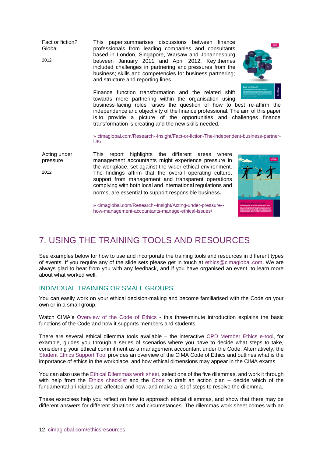Fact or fiction? **Global** 2012 This paper summarises discussions between finance professionals from leading companies and consultants based in London, Singapore, Warsaw and Johannesburg between January 2011 and April 2012. Key themes included challenges in partnering and pressures from the business; skills and competencies for business partnering; and structure and reporting lines.



Finance function transformation and the related shift towards more partnering within the organisation using

business-facing roles raises the question of how to best re-affirm the independence and objectivity of the finance professional. The aim of this paper is to provide a picture of the opportunities and challenges finance transformation is creating and the new skills needed.

[» cimaglobal.com/Research--Insight/Fact-or-fiction-The-independent-business-partner-](https://www.cimaglobal.com/Research--Insight/Fact-or-fiction-The-independent-business-partner-UK/)[UK/](https://www.cimaglobal.com/Research--Insight/Fact-or-fiction-The-independent-business-partner-UK/)

Acting under pressure 2012 This report highlights the different areas where management accountants might experience pressure in the workplace, set against the wider ethical environment. The findings affirm that the overall operating culture, support from management and transparent operations complying with both local and international regulations and norms, are essential to support responsible business.



» [cimaglobal.com/Research--Insight/Acting-under-pressure-](https://www.cimaglobal.com/Research--Insight/Acting-under-pressure--how-management-accountants-manage-ethical-issues/) [how-management-accountants-manage-ethical-issues/](https://www.cimaglobal.com/Research--Insight/Acting-under-pressure--how-management-accountants-manage-ethical-issues/)

# 7. USING THE TRAINING TOOLS AND RESOURCES

See examples below for how to use and incorporate the training tools and resources in different types of events. If you require any of the slide sets please get in touch at [ethics@cimaglobal.com.](mailto:ethics@cimaglobal.com) We are always glad to hear from you with any feedback, and if you have organised an event, to learn more about what worked well.

## INDIVIDUAL TRAINING OR SMALL GROUPS

You can easily work on your ethical decision-making and become familiarised with the Code on your own or in a small group.

Watch CIMA's [Overview of the Code of Ethics](http://www.cimaglobal.com/Professionalism/Ethics/Responsible-business/ethicswebcasts/CIMA-and-ethics-webcasts/Ethics-animation/) - this three-minute introduction explains the basic functions of the Code and how it supports members and students.

There are several ethical dilemma tools available – the interactive [CPD Member Ethics e-tool,](http://www.cimaglobal.com/ethicstool) for example, guides you through a series of scenarios where you have to decide what steps to take, considering your ethical commitment as a management accountant under the Code. Alternatively, the [Student Ethics Support Tool](http://www.cimaglobal.com/studentethicstool) provides an overview of the CIMA Code of Ethics and outlines what is the importance of ethics in the workplace, and how ethical dimensions may appear in the CIMA exams.

You can also use the [Ethical Dilemmas work sheet,](http://www.cimaglobal.com/Professional-ethics/Ethics/Responsible-business/Ethical-dilemma/) select one of the five dilemmas, and work it through with help from the [Ethics checklist](http://www.cimaglobal.com/Professional-ethics/Ethics/Responsible-business/Ethics-checklist/) and the [Code](http://www.cimaglobal.com/Professional-ethics/Ethics/CIMA-code-of-ethics-for-professional-accountants/) to draft an action plan – decide which of the fundamental principles are affected and how, and make a list of steps to resolve the dilemma.

These exercises help you reflect on how to approach ethical dilemmas, and show that there may be different answers for different situations and circumstances. The dilemmas work sheet comes with an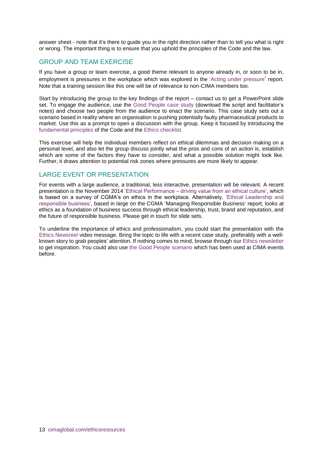answer sheet - note that it's there to guide you in the right direction rather than to tell you what is right or wrong. The important thing is to ensure that you uphold the principles of the Code and the law.

## GROUP AND TEAM EXERCISE

If you have a group or team exercise, a good theme relevant to anyone already in, or soon to be in, employment is pressures in the workplace which was explored in the ['Acting under pressure](http://www.cimaglobal.com/Research--Insight/Acting-under-pressure--how-management-accountants-manage-ethical-issues/)' report. Note that a training session like this one will be of relevance to non-CIMA members too.

Start by introducing the group to the key findings of the report – contact us to get a PowerPoint slide set. To engage the audience, use the [Good People case study](http://www.cimaglobal.com/goodpeople) (download the script and facilitator's notes) and choose two people from the audience to enact the scenario. This case study sets out a scenario based in reality where an organisation is pushing potentially faulty pharmaceutical products to market. Use this as a prompt to open a discussion with the group. Keep it focused by introducing the [fundamental principles](http://www.cimaglobal.com/Professional-ethics/Ethics/CIMAs-code-at-a-glance/) of the Code and the [Ethics checklist.](http://www.cimaglobal.com/Professional-ethics/Ethics/Responsible-business/Ethics-checklist/)

This exercise will help the individual members reflect on ethical dilemmas and decision making on a personal level, and also let the group discuss jointly what the pros and cons of an action is, establish which are some of the factors they have to consider, and what a possible solution might look like. Further, it draws attention to potential risk zones where pressures are more likely to appear.

## LARGE EVENT OR PRESENTATION

For events with a large audience, a traditional, less interactive, presentation will be relevant. A recent presentation is the November 2014 'Ethical Performance – driving value from an ethical culture', which is based on a survey of CGMA's on ethics in the workplace. Alternatively, 'Ethical Leadership and responsible business', based in large on the CGMA 'Managing Responsible Business' report, looks at ethics as a foundation of business success through ethical leadership, trust, brand and reputation, and the future of responsible business. Please get in touch for slide sets.

To underline the importance of ethics and professionalism, you could start the presentation with the [Ethics Newsreel](https://www.youtube.com/watch?v=O4cjXdZNGPg) video message. Bring the topic to life with a recent case study, preferably with a wellknown story to grab peoples' attention. If nothing comes to mind, browse through our [Ethics newsletter](http://www.cimaglobal.com/Professionalism/Ethics/Responsible-business/E-Library/Ethics-newsletter/) to get inspiration. You could also use the [Good People scenario](http://www.cimaglobal.com/goodpeople) which has been used at CIMA events before.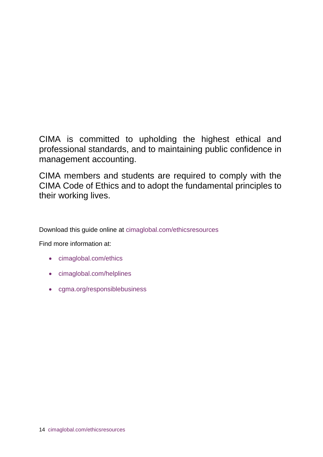CIMA is committed to upholding the highest ethical and professional standards, and to maintaining public confidence in management accounting.

CIMA members and students are required to comply with the CIMA Code of Ethics and to adopt the fundamental principles to their working lives.

Download this guide online at [cimaglobal.com/ethicsresources](http://www.cimaglobal.com/ethicsresources)

Find more information at:

- [cimaglobal.com/ethics](http://www.cimaglobal.com/ethics)
- [cimaglobal.com/helplines](http://www.cimaglobal.com/helplines)
- [cgma.org/responsiblebusiness](http://www.cgma.org/responsiblebusiness)